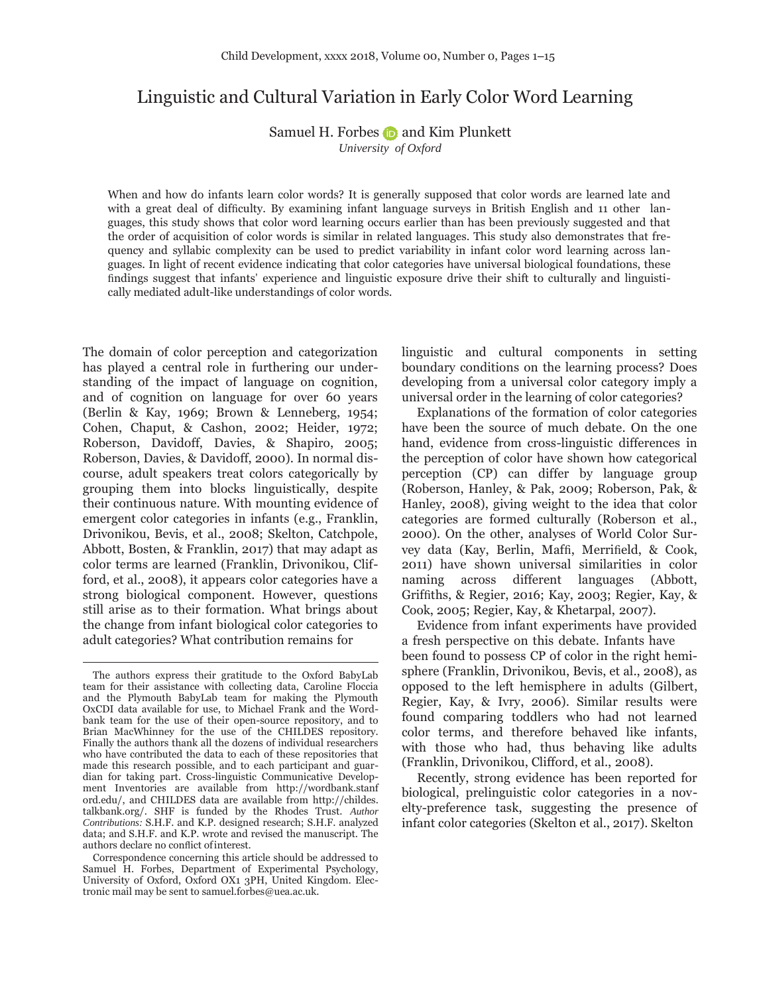# Linguistic and Cultural Variation in Early Color Word Learning

Samuel H. Forbes **b** and Kim Plunkett

*University of Oxford*

When and how do infants learn color words? It is generally supposed that color words are learned late and with a great deal of difficulty. By examining infant language surveys in British English and 11 other languages, this study shows that color word learning occurs earlier than has been previously suggested and that the order of acquisition of color words is similar in related languages. This study also demonstrates that frequency and syllabic complexity can be used to predict variability in infant color word learning across languages. In light of recent evidence indicating that color categories have universal biological foundations, these findings suggest that infants' experience and linguistic exposure drive their shift to culturally and linguistically mediated adult-like understandings of color words.

The domain of color perception and categorization has played a central role in furthering our understanding of the impact of language on cognition, and of cognition on language for over 60 years (Berlin & Kay, 1969; Brown & Lenneberg, 1954; Cohen, Chaput, & Cashon, 2002; Heider, 1972; Roberson, Davidoff, Davies, & Shapiro, 2005; Roberson, Davies, & Davidoff, 2000). In normal discourse, adult speakers treat colors categorically by grouping them into blocks linguistically, despite their continuous nature. With mounting evidence of emergent color categories in infants (e.g., Franklin, Drivonikou, Bevis, et al., 2008; Skelton, Catchpole, Abbott, Bosten, & Franklin, 2017) that may adapt as color terms are learned (Franklin, Drivonikou, Clifford, et al., 2008), it appears color categories have a strong biological component. However, questions still arise as to their formation. What brings about the change from infant biological color categories to adult categories? What contribution remains for

linguistic and cultural components in setting boundary conditions on the learning process? Does developing from a universal color category imply a universal order in the learning of color categories?

Explanations of the formation of color categories have been the source of much debate. On the one hand, evidence from cross-linguistic differences in the perception of color have shown how categorical perception (CP) can differ by language group (Roberson, Hanley, & Pak, 2009; Roberson, Pak, & Hanley, 2008), giving weight to the idea that color categories are formed culturally (Roberson et al., 2000). On the other, analyses of World Color Survey data (Kay, Berlin, Maffi, Merrifield, & Cook, 2011) have shown universal similarities in color naming across different languages (Abbott, Griffiths, & Regier, 2016; Kay, 2003; Regier, Kay, & Cook, 2005; Regier, Kay, & Khetarpal, 2007).

Evidence from infant experiments have provided a fresh perspective on this debate. Infants have been found to possess CP of color in the right hemisphere (Franklin, Drivonikou, Bevis, et al., 2008), as opposed to the left hemisphere in adults (Gilbert, Regier, Kay, & Ivry, 2006). Similar results were found comparing toddlers who had not learned color terms, and therefore behaved like infants, with those who had, thus behaving like adults (Franklin, Drivonikou, Clifford, et al., 2008).

Recently, strong evidence has been reported for biological, prelinguistic color categories in a novelty-preference task, suggesting the presence of infant color categories (Skelton et al., 2017). Skelton

The authors express their gratitude to the Oxford BabyLab team for their assistance with collecting data, Caroline Floccia and the Plymouth BabyLab team for making the Plymouth OxCDI data available for use, to Michael Frank and the Wordbank team for the use of their open-source repository, and to Brian MacWhinney for the use of the CHILDES repository. Finally the authors thank all the dozens of individual researchers who have contributed the data to each of these repositories that made this research possible, and to each participant and guardian for taking part. Cross-linguistic Communicative Development Inventories are available from [http://wordbank.stanf](http://wordbank.stanford.edu/) [ord.edu/,](http://wordbank.stanford.edu/) and CHILDES data are available from [http://childes.](http://childes.talkbank.org/) [talkbank.org/.](http://childes.talkbank.org/) SHF is funded by the Rhodes Trust. *Author Contributions:* S.H.F. and K.P. designed research; S.H.F. analyzed data; and S.H.F. and K.P. wrote and revised the manuscript. The authors declare no conflict ofinterest.

Correspondence concerning this article should be addressed to Samuel H. Forbes, Department of Experimental Psychology, University of Oxford, Oxford OX1 3PH, United Kingdom. Electronic mail may be sent t[o samuel.forbes@uea.ac.uk.](mailto:samuel.forbes@uea.ac.uk)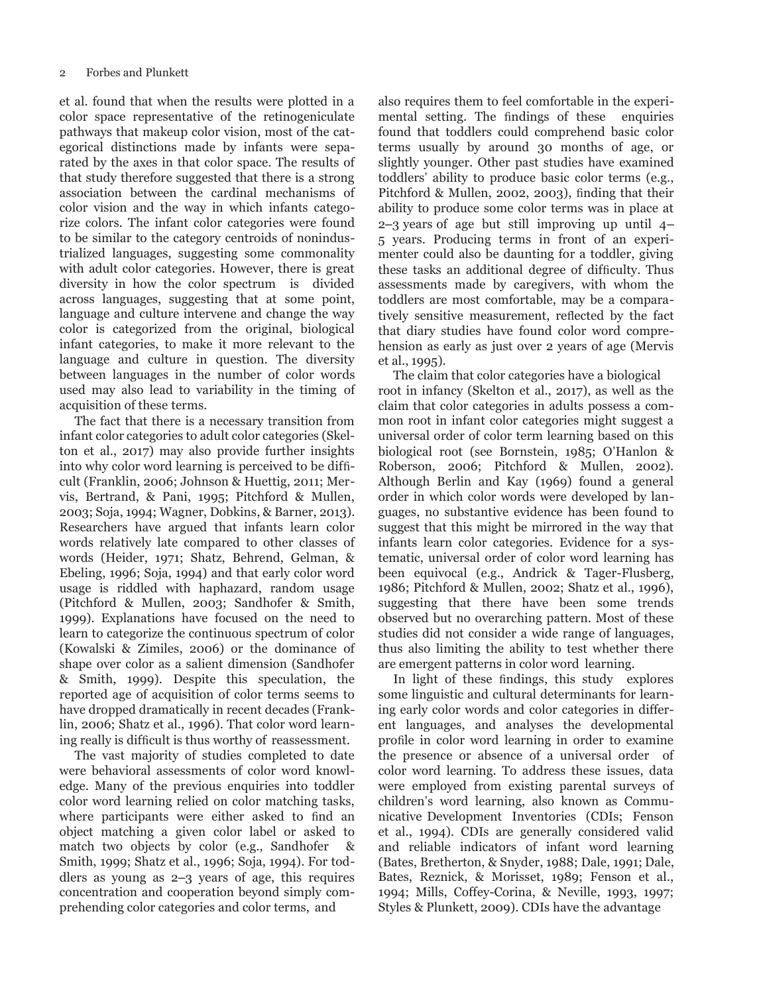et al. found that when the results were plotted in a color space representative of the retinogeniculate pathways that makeup color vision, most of the categorical distinctions made by infants were separated by the axes in that color space. The results of that study therefore suggested that there is a strong association between the cardinal mechanisms of color vision and the way in which infants categorize colors. The infant color categories were found to be similar to the category centroids of nonindustrialized languages, suggesting some commonality with adult color categories. However, there is great diversity in how the color spectrum is divided across languages, suggesting that at some point, language and culture intervene and change the way color is categorized from the original, biological infant categories, to make it more relevant to the language and culture in question. The diversity between languages in the number of color words used may also lead to variability in the timing of acquisition of these terms.

The fact that there is a necessary transition from infant color categories to adult color categories (Skelton et al., 2017) may also provide further insights into why color word learning is perceived to be difficult (Franklin, 2006; Johnson & Huettig, 2011; Mervis, Bertrand, & Pani, 1995; Pitchford & Mullen, 2003; Soja, 1994; Wagner, Dobkins, & Barner, 2013). Researchers have argued that infants learn color words relatively late compared to other classes of words (Heider, 1971; Shatz, Behrend, Gelman, & Ebeling, 1996; Soja, 1994) and that early color word usage is riddled with haphazard, random usage (Pitchford & Mullen, 2003; Sandhofer & Smith, 1999). Explanations have focused on the need to learn to categorize the continuous spectrum of color (Kowalski & Zimiles, 2006) or the dominance of shape over color as a salient dimension (Sandhofer & Smith, 1999). Despite this speculation, the reported age of acquisition of color terms seems to have dropped dramatically in recent decades (Franklin, 2006; Shatz et al., 1996). That color word learning really is difficult is thus worthy of reassessment.

The vast majority of studies completed to date were behavioral assessments of color word knowledge. Many of the previous enquiries into toddler color word learning relied on color matching tasks, where participants were either asked to find an object matching a given color label or asked to match two objects by color (e.g., Sandhofer & Smith, 1999; Shatz et al., 1996; Soja, 1994). For toddlers as young as 2–3 years of age, this requires concentration and cooperation beyond simply comprehending color categories and color terms, and

also requires them to feel comfortable in the experimental setting. The findings of these enquiries found that toddlers could comprehend basic color terms usually by around 30 months of age, or slightly younger. Other past studies have examined toddlers' ability to produce basic color terms (e.g., Pitchford & Mullen, 2002, 2003), finding that their ability to produce some color terms was in place at 2–3 years of age but still improving up until 4– 5 years. Producing terms in front of an experimenter could also be daunting for a toddler, giving these tasks an additional degree of difficulty. Thus assessments made by caregivers, with whom the toddlers are most comfortable, may be a comparatively sensitive measurement, reflected by the fact that diary studies have found color word comprehension as early as just over 2 years of age (Mervis et al., 1995).

The claim that color categories have a biological root in infancy (Skelton et al., 2017), as well as the claim that color categories in adults possess a common root in infant color categories might suggest a universal order of color term learning based on this biological root (see Bornstein, 1985; O'Hanlon & Roberson, 2006; Pitchford & Mullen, 2002). Although Berlin and Kay (1969) found a general order in which color words were developed by languages, no substantive evidence has been found to suggest that this might be mirrored in the way that infants learn color categories. Evidence for a systematic, universal order of color word learning has been equivocal (e.g., Andrick & Tager-Flusberg, 1986; Pitchford & Mullen, 2002; Shatz et al., 1996), suggesting that there have been some trends observed but no overarching pattern. Most of these studies did not consider a wide range of languages, thus also limiting the ability to test whether there are emergent patterns in color word learning.

In light of these findings, this study explores some linguistic and cultural determinants for learning early color words and color categories in different languages, and analyses the developmental profile in color word learning in order to examine the presence or absence of a universal order of color word learning. To address these issues, data were employed from existing parental surveys of children's word learning, also known as Communicative Development Inventories (CDIs; Fenson et al., 1994). CDIs are generally considered valid and reliable indicators of infant word learning (Bates, Bretherton, & Snyder, 1988; Dale, 1991; Dale, Bates, Reznick, & Morisset, 1989; Fenson et al., 1994; Mills, Coffey-Corina, & Neville, 1993, 1997; Styles & Plunkett, 2009). CDIs have the advantage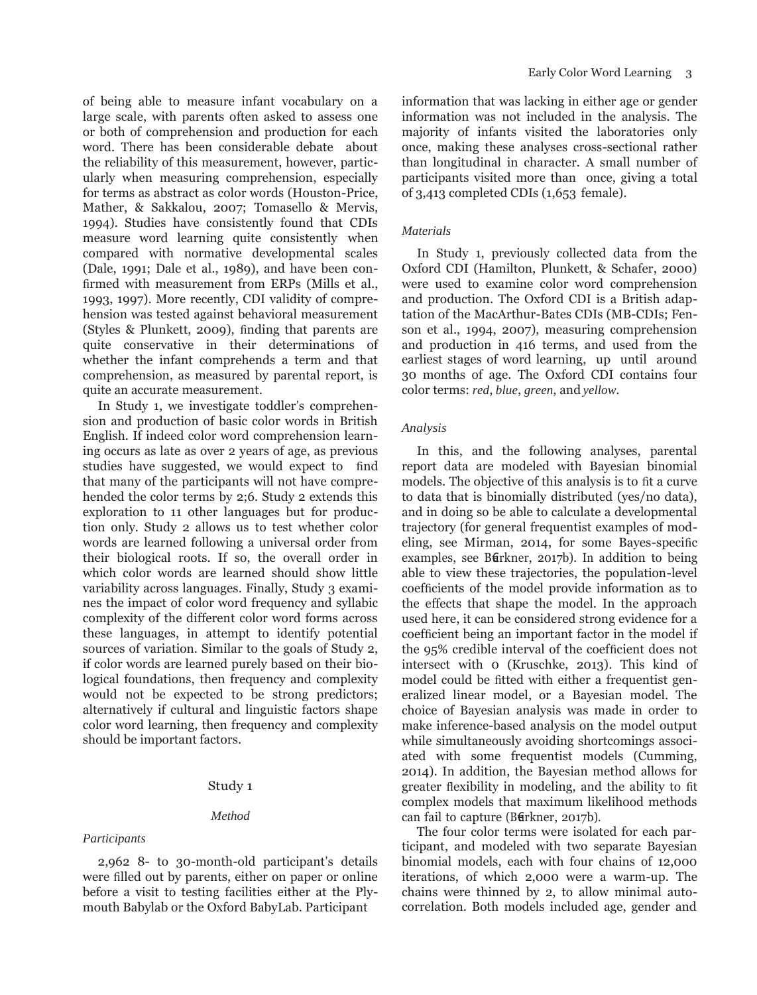of being able to measure infant vocabulary on a large scale, with parents often asked to assess one or both of comprehension and production for each word. There has been considerable debate about the reliability of this measurement, however, particularly when measuring comprehension, especially for terms as abstract as color words (Houston-Price, Mather, & Sakkalou, 2007; Tomasello & Mervis, 1994). Studies have consistently found that CDIs measure word learning quite consistently when compared with normative developmental scales (Dale, 1991; Dale et al., 1989), and have been confirmed with measurement from ERPs (Mills et al., 1993, 1997). More recently, CDI validity of comprehension was tested against behavioral measurement (Styles & Plunkett, 2009), finding that parents are quite conservative in their determinations of whether the infant comprehends a term and that comprehension, as measured by parental report, is quite an accurate measurement.

In Study 1, we investigate toddler's comprehension and production of basic color words in British English. If indeed color word comprehension learning occurs as late as over 2 years of age, as previous studies have suggested, we would expect to find that many of the participants will not have comprehended the color terms by 2;6. Study 2 extends this exploration to 11 other languages but for production only. Study 2 allows us to test whether color words are learned following a universal order from their biological roots. If so, the overall order in which color words are learned should show little variability across languages. Finally, Study 3 examines the impact of color word frequency and syllabic complexity of the different color word forms across these languages, in attempt to identify potential sources of variation. Similar to the goals of Study 2, if color words are learned purely based on their biological foundations, then frequency and complexity would not be expected to be strong predictors; alternatively if cultural and linguistic factors shape color word learning, then frequency and complexity should be important factors.

# Study 1

# *Method*

## *Participants*

2,962 8- to 30-month-old participant's details were filled out by parents, either on paper or online before a visit to testing facilities either at the Plymouth Babylab or the Oxford BabyLab. Participant

information that was lacking in either age or gender information was not included in the analysis. The majority of infants visited the laboratories only once, making these analyses cross-sectional rather than longitudinal in character. A small number of participants visited more than once, giving a total of 3,413 completed CDIs (1,653 female).

## *Materials*

In Study 1, previously collected data from the Oxford CDI (Hamilton, Plunkett, & Schafer, 2000) were used to examine color word comprehension and production. The Oxford CDI is a British adaptation of the MacArthur-Bates CDIs (MB-CDIs; Fenson et al., 1994, 2007), measuring comprehension and production in 416 terms, and used from the earliest stages of word learning, up until around 30 months of age. The Oxford CDI contains four color terms: *red*, *blue*, *green*, and *yellow*.

## *Analysis*

In this, and the following analyses, parental report data are modeled with Bayesian binomial models. The objective of this analysis is to fit a curve to data that is binomially distributed (yes/no data), and in doing so be able to calculate a developmental trajectory (for general frequentist examples of modeling, see Mirman, 2014, for some Bayes-specific examples, see B $f$ frkner, 2017b). In addition to being able to view these trajectories, the population-level coefficients of the model provide information as to the effects that shape the model. In the approach used here, it can be considered strong evidence for a coefficient being an important factor in the model if the 95% credible interval of the coefficient does not intersect with 0 (Kruschke, 2013). This kind of model could be fitted with either a frequentist generalized linear model, or a Bayesian model. The choice of Bayesian analysis was made in order to make inference-based analysis on the model output while simultaneously avoiding shortcomings associated with some frequentist models (Cumming, 2014). In addition, the Bayesian method allows for greater flexibility in modeling, and the ability to fit complex models that maximum likelihood methods can fail to capture (B $f$ frkner, 2017b).

The four color terms were isolated for each participant, and modeled with two separate Bayesian binomial models, each with four chains of 12,000 iterations, of which 2,000 were a warm-up. The chains were thinned by 2, to allow minimal autocorrelation. Both models included age, gender and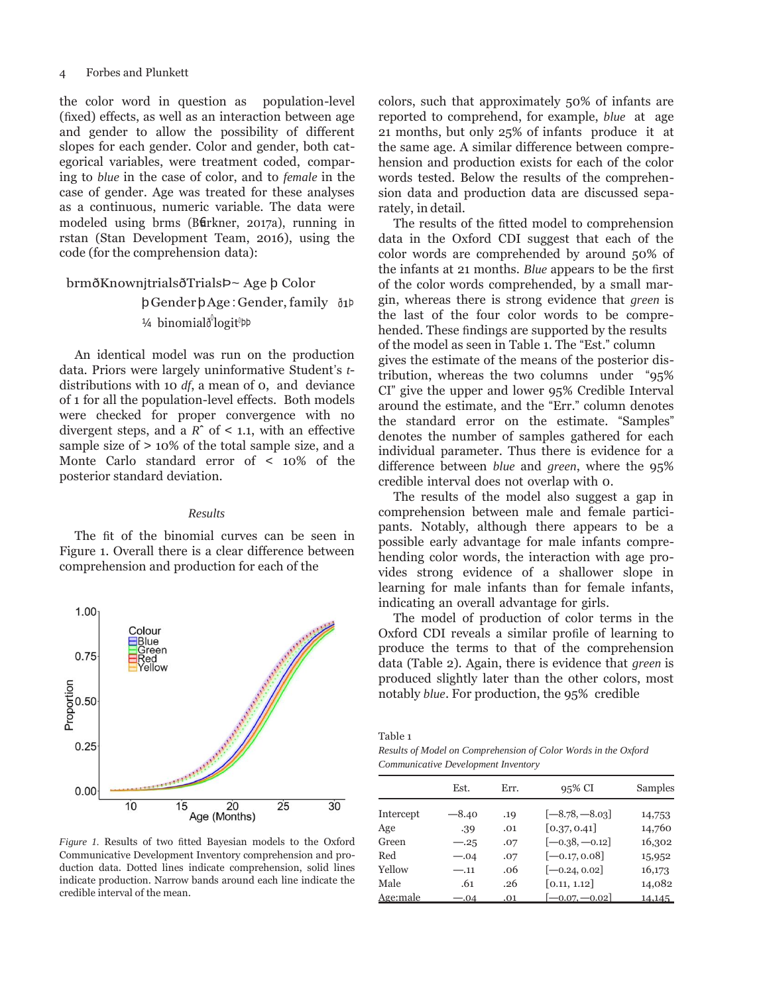## 4 Forbes and Plunkett

the color word in question as population-level (fixed) effects, as well as an interaction between age and gender to allow the possibility of different slopes for each gender. Color and gender, both categorical variables, were treatment coded, comparing to *blue* in the case of color, and to *female* in the case of gender. Age was treated for these analyses as a continuous, numeric variable. The data were modeled using brms (B $f$ frkner, 2017a), running in rstan (Stan Development Team, 2016), using the code (for the comprehension data):

# brmðKnownjtrialsðTrialsÞ~ Age þ Color þGenderþAge :Gender, family ¼ binomialð<sup>0</sup>logit<sup>®</sup>ÞÞ

An identical model was run on the production data. Priors were largely uninformative Student's *t*distributions with 10 *df*, a mean of 0, and deviance of 1 for all the population-level effects. Both models were checked for proper convergence with no divergent steps, and a  $R^{\text{ }}$  of < 1.1, with an effective sample size of > 10% of the total sample size, and a Monte Carlo standard error of < 10% of the posterior standard deviation.

#### *Results*

The fit of the binomial curves can be seen in Figure 1. Overall there is a clear difference between comprehension and production for each of the



*Figure 1.* Results of two fitted Bayesian models to the Oxford Communicative Development Inventory comprehension and production data. Dotted lines indicate comprehension, solid lines indicate production. Narrow bands around each line indicate the credible interval of the mean.

colors, such that approximately 50% of infants are reported to comprehend, for example, *blue* at age 21 months, but only 25% of infants produce it at the same age. A similar difference between comprehension and production exists for each of the color words tested. Below the results of the comprehension data and production data are discussed separately, in detail.

The results of the fitted model to comprehension data in the Oxford CDI suggest that each of the color words are comprehended by around 50% of the infants at 21 months. *Blue* appears to be the first of the color words comprehended, by a small margin, whereas there is strong evidence that *green* is the last of the four color words to be comprehended. These findings are supported by the results of the model as seen in Table 1. The "Est." column gives the estimate of the means of the posterior distribution, whereas the two columns under "95% CI" give the upper and lower 95% Credible Interval around the estimate, and the "Err." column denotes the standard error on the estimate. "Samples" denotes the number of samples gathered for each individual parameter. Thus there is evidence for a difference between *blue* and *green*, where the 95% credible interval does not overlap with 0.

The results of the model also suggest a gap in comprehension between male and female participants. Notably, although there appears to be a possible early advantage for male infants comprehending color words, the interaction with age provides strong evidence of a shallower slope in learning for male infants than for female infants, indicating an overall advantage for girls.

The model of production of color terms in the Oxford CDI reveals a similar profile of learning to produce the terms to that of the comprehension data (Table 2). Again, there is evidence that *green* is produced slightly later than the other colors, most notably *blue*. For production, the 95% credible

Table 1

*Results of Model on Comprehension of Color Words in the Oxford Communicative Development Inventory*

|           | Est.    | Err. | 95% CI           | Samples |
|-----------|---------|------|------------------|---------|
| Intercept | $-8.40$ | .19  | $[-8.78, -8.03]$ | 14,753  |
| Age       | .39     | .01  | [0.37, 0.41]     | 14,760  |
| Green     | $-.25$  | .07  | $[-0.38, -0.12]$ | 16,302  |
| Red       | $-.04$  | .07  | $[-0.17, 0.08]$  | 15,952  |
| Yellow    | $-.11$  | .06  | $[-0.24, 0.02]$  | 16,173  |
| Male      | .61     | .26  | [0.11, 1.12]     | 14,082  |
| Age:male  | -.04    | .01  | $-0.07 - 0.02$   | 14,145  |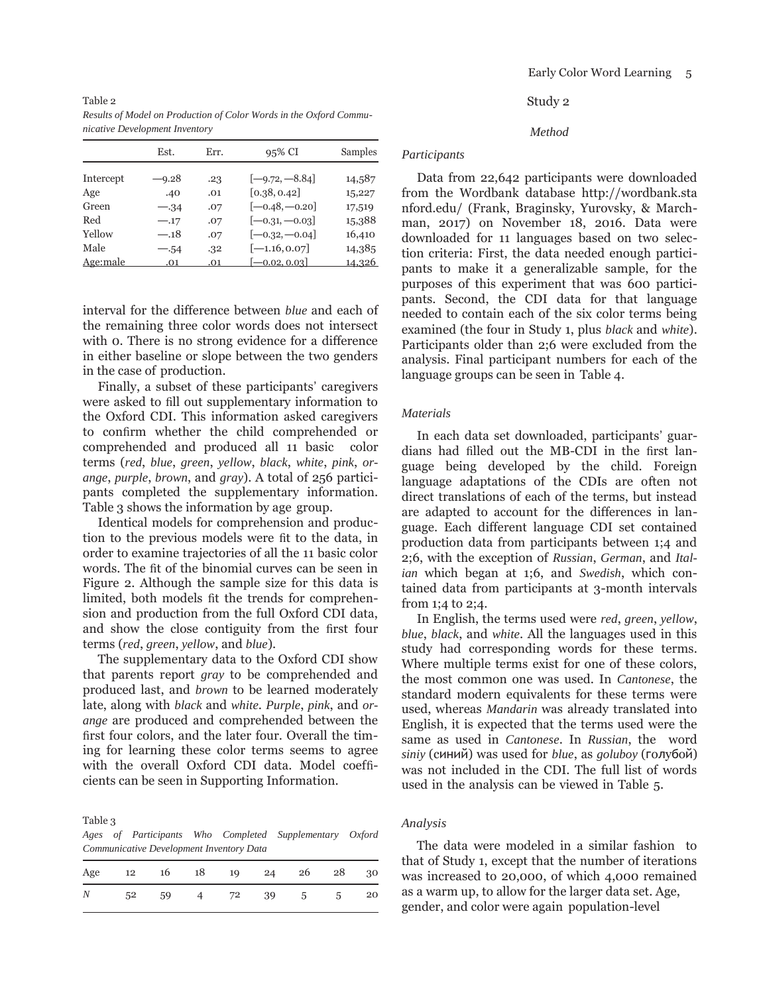Table 2 *Results of Model on Production of Color Words in the Oxford Communicative Development Inventory*

|           | Est.    | Err. | 95% CI           | Samples |
|-----------|---------|------|------------------|---------|
| Intercept | $-9.28$ | .23  | $[-9.72, -8.84]$ | 14,587  |
|           |         |      |                  |         |
| Age       | .40     | .01  | [0.38, 0.42]     | 15,227  |
| Green     | $-.34$  | .07  | $[-0.48, -0.20]$ | 17,519  |
| Red       | $-.17$  | .07  | $[-0.31, -0.03]$ | 15,388  |
| Yellow    | $-.18$  | .07  | $[-0.32, -0.04]$ | 16,410  |
| Male      | $-.54$  | .32  | $[-1.16, 0.07]$  | 14,385  |
| Age:male  | .01     | .01  | $[-0.02, 0.03]$  | 14,326  |

interval for the difference between *blue* and each of the remaining three color words does not intersect with 0. There is no strong evidence for a difference in either baseline or slope between the two genders in the case of production.

Finally, a subset of these participants' caregivers were asked to fill out supplementary information to the Oxford CDI. This information asked caregivers to confirm whether the child comprehended or comprehended and produced all 11 basic color terms (*red*, *blue*, *green*, *yellow*, *black*, *white*, *pink*, *orange*, *purple*, *brown*, and *gray*). A total of 256 participants completed the supplementary information. Table 3 shows the information by age group.

Identical models for comprehension and production to the previous models were fit to the data, in order to examine trajectories of all the 11 basic color words. The fit of the binomial curves can be seen in Figure 2. Although the sample size for this data is limited, both models fit the trends for comprehension and production from the full Oxford CDI data, and show the close contiguity from the first four terms (*red*, *green*, *yellow*, and *blue*).

The supplementary data to the Oxford CDI show that parents report *gray* to be comprehended and produced last, and *brown* to be learned moderately late, along with *black* and *white*. *Purple*, *pink*, and *orange* are produced and comprehended between the first four colors, and the later four. Overall the timing for learning these color terms seems to agree with the overall Oxford CDI data. Model coefficients can be seen in Supporting Information.

Table 3

*Ages of Participants Who Completed Supplementary Oxford Communicative Development Inventory Data*

| Age 12 16 18 19 24 26 28 30 |  |  |  |  |
|-----------------------------|--|--|--|--|
| N 52 59 4 72 39 5 5 20      |  |  |  |  |

Study 2

## *Method*

#### Est. Err. 95% CI Samples *Participants*

Data from 22,642 participants were downloaded from the Wordbank database [http://wordbank.sta](http://wordbank.stanford.edu/) [nford.edu/](http://wordbank.stanford.edu/) (Frank, Braginsky, Yurovsky, & Marchman, 2017) on November 18, 2016. Data were downloaded for 11 languages based on two selection criteria: First, the data needed enough participants to make it a generalizable sample, for the purposes of this experiment that was 600 participants. Second, the CDI data for that language needed to contain each of the six color terms being examined (the four in Study 1, plus *black* and *white*). Participants older than 2;6 were excluded from the analysis. Final participant numbers for each of the language groups can be seen in Table 4.

## *Materials*

In each data set downloaded, participants' guardians had filled out the MB-CDI in the first language being developed by the child. Foreign language adaptations of the CDIs are often not direct translations of each of the terms, but instead are adapted to account for the differences in language. Each different language CDI set contained production data from participants between 1;4 and 2;6, with the exception of *Russian*, *German*, and *Italian* which began at 1;6, and *Swedish*, which contained data from participants at 3-month intervals from 1;4 to 2;4.

In English, the terms used were *red*, *green*, *yellow*, *blue*, *black*, and *white*. All the languages used in this study had corresponding words for these terms. Where multiple terms exist for one of these colors, the most common one was used. In *Cantonese*, the standard modern equivalents for these terms were used, whereas *Mandarin* was already translated into English, it is expected that the terms used were the same as used in *Cantonese*. In *Russian*, the word *siniy* (cиний) was used for *blue*, as *goluboy* (гoлyбoй) was not included in the CDI. The full list of words used in the analysis can be viewed in Table 5.

# *Analysis*

The data were modeled in a similar fashion to that of Study 1, except that the number of iterations was increased to 20,000, of which 4,000 remained as a warm up, to allow for the larger data set. Age, gender, and color were again population-level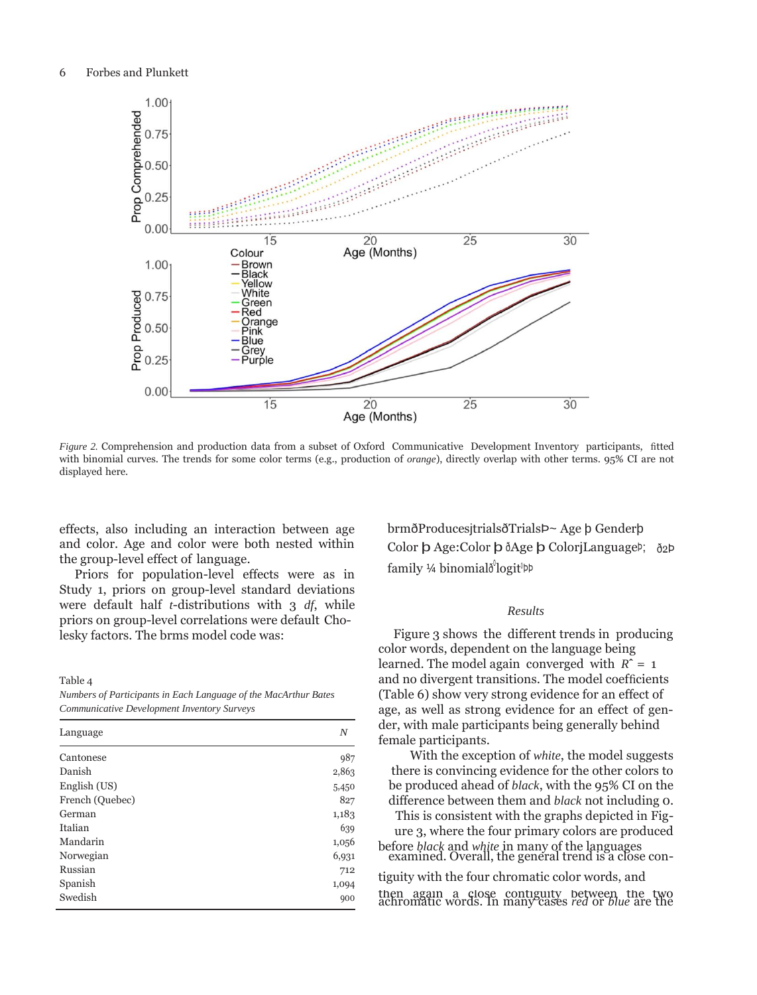

*Figure 2.* Comprehension and production data from a subset of Oxford Communicative Development Inventory participants, fitted with binomial curves. The trends for some color terms (e.g., production of *orange*), directly overlap with other terms. 95% CI are not displayed here.

effects, also including an interaction between age and color. Age and color were both nested within the group-level effect of language.

Priors for population-level effects were as in Study 1, priors on group-level standard deviations were default half *t*-distributions with 3 *df*, while priors on group-level correlations were default Cholesky factors. The brms model code was:

Table 4

*Numbers of Participants in Each Language of the MacArthur Bates Communicative Development Inventory Surveys*

| Language        | $\boldsymbol{N}$ | der, with male participants being generally behind<br>female participants.                                            |
|-----------------|------------------|-----------------------------------------------------------------------------------------------------------------------|
| Cantonese       | 987              | With the exception of <i>white</i> , the model suggests                                                               |
| Danish          | 2,863            | there is convincing evidence for the other colors to                                                                  |
| English (US)    | 5,450            | be produced ahead of <i>black</i> , with the 95% CI on the                                                            |
| French (Quebec) | 827              | difference between them and <i>black</i> not including o.                                                             |
| German          | 1,183            | This is consistent with the graphs depicted in Fig-                                                                   |
| Italian         | 639              | ure 3, where the four primary colors are produced                                                                     |
| Mandarin        | 1,056            |                                                                                                                       |
| Norwegian       | 6,931            | before <i>black</i> and <i>white</i> in many of the languages<br>examined. Overall, the general trend is a close con- |
| Russian         | 712              |                                                                                                                       |
| Spanish         | 1,094            | tiguity with the four chromatic color words, and                                                                      |
| Swedish         | 900              | then again a close contiguity between the two<br>achromatic words. In many cases <i>red</i> or <i>blue</i> are the    |

brmðProducesjtrialsðTrialsÞ~ Age þ Genderþ Color þ Age:Color þ <sup>ð</sup>Age þ ColorjLanguageÞ; ð2Þ family ¼ binomialð logit ÞÞ

## *Results*

Figure 3 shows the different trends in producing color words, dependent on the language being learned. The model again converged with  $R<sup>^</sup> = 1$ and no divergent transitions. The model coefficients (Table 6) show very strong evidence for an effect of age, as well as strong evidence for an effect of gender, with male participants being generally behind female participants.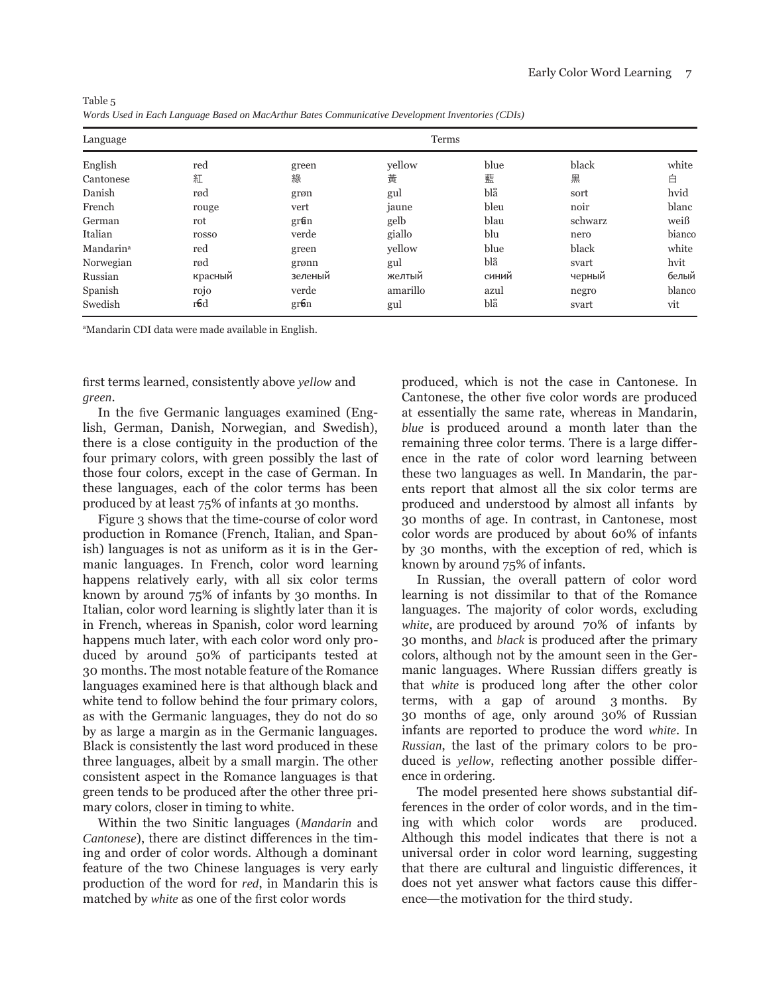| Language              |         |                 | Terms    |       |         |        |
|-----------------------|---------|-----------------|----------|-------|---------|--------|
| English               | red     | green           | vellow   | blue  | black   | white  |
| Cantonese             | 紅       | 綠               | 黃        | 藍     | 黑       | 白      |
| Danish                | rød     | grøn            | gul      | blã   | sort    | hvid   |
| French                | rouge   | vert            | jaune    | bleu  | noir    | blanc  |
| German                | rot     | $grf\mathbf{m}$ | gelb     | blau  | schwarz | weiß   |
| Italian               | rosso   | verde           | giallo   | blu   | nero    | bianco |
| Mandarin <sup>a</sup> | red     | green           | yellow   | blue  | black   | white  |
| Norwegian             | rød     | grønn           | gul      | blå   | svart   | hvit   |
| Russian               | красный | зеленый         | желтый   | синий | черный  | белый  |
| Spanish               | rojo    | verde           | amarillo | azul  | negro   | blanco |
| Swedish               | r6d     | gr6n            | gul      | blå   | svart   | vit    |

Table 5 *Words Used in Each Language Based on MacArthur Bates Communicative Development Inventories (CDIs)*

<sup>a</sup>Mandarin CDI data were made available in English.

first terms learned, consistently above *yellow* and *green*.

In the five Germanic languages examined (English, German, Danish, Norwegian, and Swedish), there is a close contiguity in the production of the four primary colors, with green possibly the last of those four colors, except in the case of German. In these languages, each of the color terms has been produced by at least 75% of infants at 30 months.

Figure 3 shows that the time-course of color word production in Romance (French, Italian, and Spanish) languages is not as uniform as it is in the Germanic languages. In French, color word learning happens relatively early, with all six color terms known by around 75% of infants by 30 months. In Italian, color word learning is slightly later than it is in French, whereas in Spanish, color word learning happens much later, with each color word only produced by around 50% of participants tested at 30 months. The most notable feature of the Romance languages examined here is that although black and white tend to follow behind the four primary colors, as with the Germanic languages, they do not do so by as large a margin as in the Germanic languages. Black is consistently the last word produced in these three languages, albeit by a small margin. The other consistent aspect in the Romance languages is that green tends to be produced after the other three primary colors, closer in timing to white.

Within the two Sinitic languages (*Mandarin* and *Cantonese*), there are distinct differences in the timing and order of color words. Although a dominant feature of the two Chinese languages is very early production of the word for *red*, in Mandarin this is matched by *white* as one of the first color words

produced, which is not the case in Cantonese. In Cantonese, the other five color words are produced at essentially the same rate, whereas in Mandarin, *blue* is produced around a month later than the remaining three color terms. There is a large difference in the rate of color word learning between these two languages as well. In Mandarin, the parents report that almost all the six color terms are produced and understood by almost all infants by 30 months of age. In contrast, in Cantonese, most color words are produced by about 60% of infants by 30 months, with the exception of red, which is known by around 75% of infants.

In Russian, the overall pattern of color word learning is not dissimilar to that of the Romance languages. The majority of color words, excluding *white*, are produced by around 70% of infants by 30 months, and *black* is produced after the primary colors, although not by the amount seen in the Germanic languages. Where Russian differs greatly is that *white* is produced long after the other color terms, with a gap of around 3 months. By 30 months of age, only around 30% of Russian infants are reported to produce the word *white*. In *Russian*, the last of the primary colors to be produced is *yellow*, reflecting another possible difference in ordering.

The model presented here shows substantial differences in the order of color words, and in the timing with which color words are produced. Although this model indicates that there is not a universal order in color word learning, suggesting that there are cultural and linguistic differences, it does not yet answer what factors cause this difference—the motivation for the third study.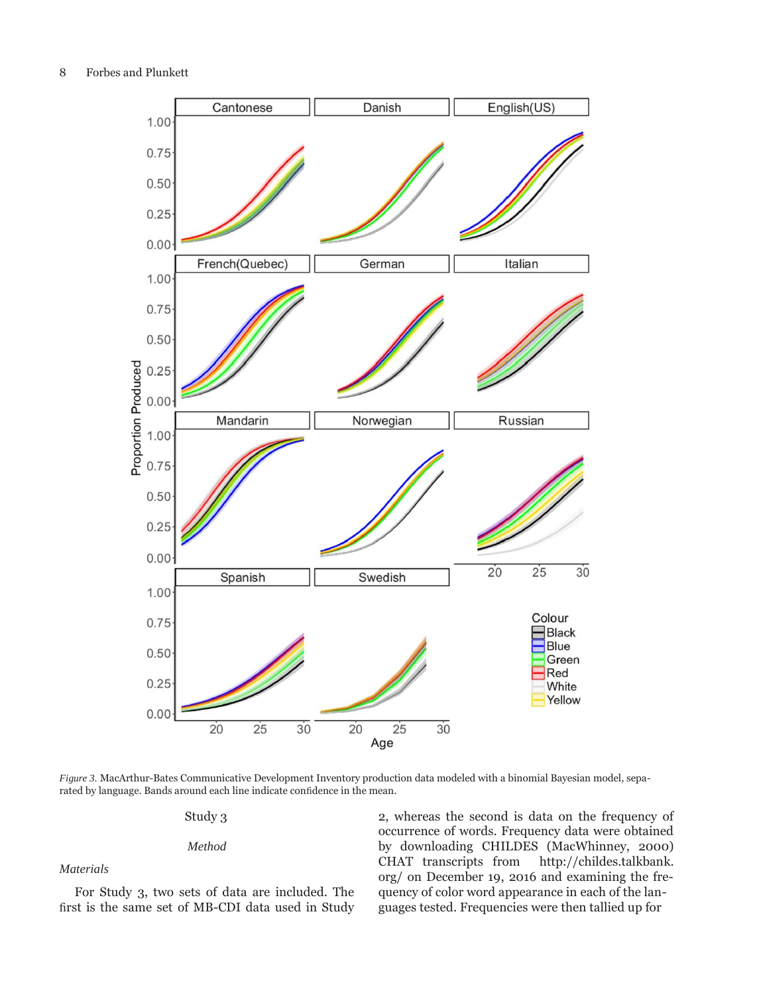

*Figure 3.* MacArthur-Bates Communicative Development Inventory production data modeled with a binomial Bayesian model, separated by language. Bands around each line indicate confidence in the mean.

## Study 3

#### *Method*

*Materials*

For Study 3, two sets of data are included. The first is the same set of MB-CDI data used in Study

2, whereas the second is data on the frequency of occurrence of words. Frequency data were obtained by downloading CHILDES (MacWhinney, 2000) CHAT transcripts from [http://childes.talkbank.](http://childes.talkbank.org/) [org/](http://childes.talkbank.org/) on December 19, 2016 and examining the frequency of color word appearance in each of the languages tested. Frequencies were then tallied up for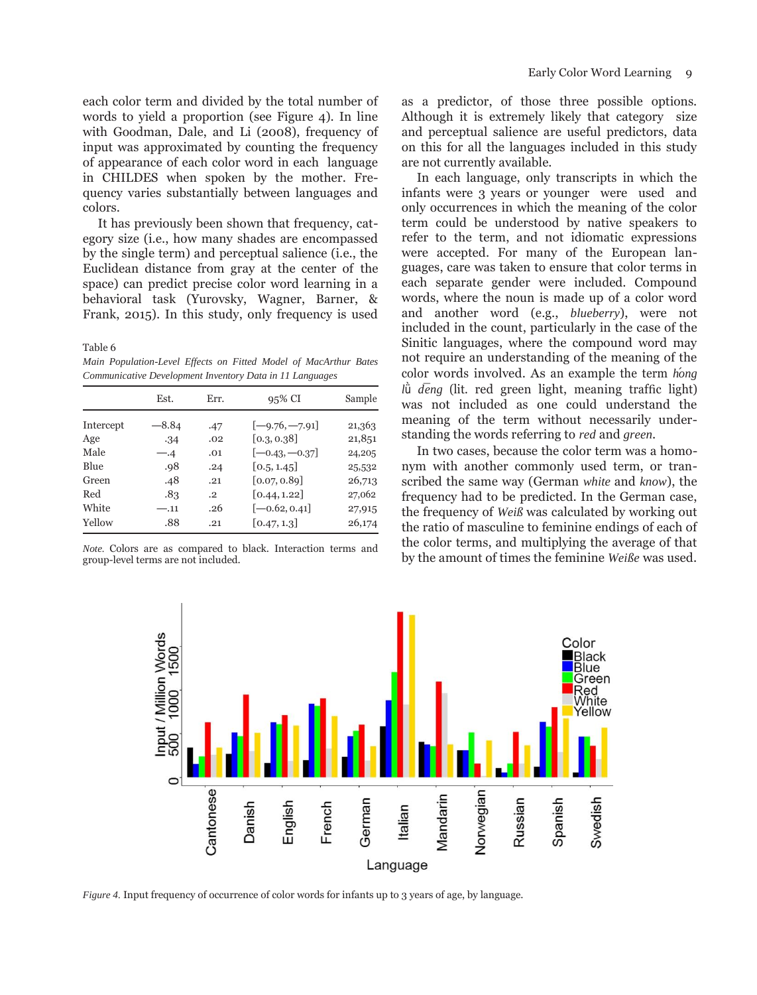each color term and divided by the total number of words to yield a proportion (see Figure 4). In line with Goodman, Dale, and Li (2008), frequency of input was approximated by counting the frequency of appearance of each color word in each language in CHILDES when spoken by the mother. Frequency varies substantially between languages and colors.

It has previously been shown that frequency, category size (i.e., how many shades are encompassed by the single term) and perceptual salience (i.e., the Euclidean distance from gray at the center of the space) can predict precise color word learning in a behavioral task (Yurovsky, Wagner, Barner, & Frank, 2015). In this study, only frequency is used

Table 6

*Main Population-Level Effects on Fitted Model of MacArthur Bates Communicative Development Inventory Data in 11 Languages*

|                          | Est.                 | Err.                               | 95% CI                                              | Sample                     |
|--------------------------|----------------------|------------------------------------|-----------------------------------------------------|----------------------------|
| Intercept<br>Age<br>Male | $-8.84$<br>.34       | .47<br>.02<br>.01                  | $[-9.76, -7.91]$<br>[0.3, 0.38]<br>$[-0.43, -0.37]$ | 21,363<br>21,851<br>24,205 |
| Blue<br>Green            | $-.4$<br>.98<br>.48  | .24<br>.21                         | [0.5, 1.45]<br>[0.07, 0.89]                         | 25,532<br>26,713           |
| Red<br>White<br>Yellow   | .83<br>$-.11$<br>.88 | $\cdot$ <sup>2</sup><br>.26<br>.21 | [0.44, 1.22]<br>$[-0.62, 0.41]$<br>[0.47, 1.3]      | 27,062<br>27,915<br>26,174 |

*Note.* Colors are as compared to black. Interaction terms and group-level terms are not included.

as a predictor, of those three possible options. Although it is extremely likely that category size and perceptual salience are useful predictors, data on this for all the languages included in this study are not currently available.

In each language, only transcripts in which the infants were 3 years or younger were used and only occurrences in which the meaning of the color term could be understood by native speakers to refer to the term, and not idiomatic expressions were accepted. For many of the European languages, care was taken to ensure that color terms in each separate gender were included. Compound words, where the noun is made up of a color word and another word (e.g., *blueberry*), were not included in the count, particularly in the case of the Sinitic languages, where the compound word may not require an understanding of the meaning of the color words involved. As an example the term *h*´*ong l*ù *deng* (lit. red green light, meaning traffic light) was not included as one could understand the meaning of the term without necessarily understanding the words referring to *red* and *green*.

In two cases, because the color term was a homonym with another commonly used term, or transcribed the same way (German *white* and *know*), the frequency had to be predicted. In the German case, the frequency of *Weiß* was calculated by working out the ratio of masculine to feminine endings of each of the color terms, and multiplying the average of that by the amount of times the feminine *Weiße* was used.



*Figure 4.* Input frequency of occurrence of color words for infants up to 3 years of age, by language.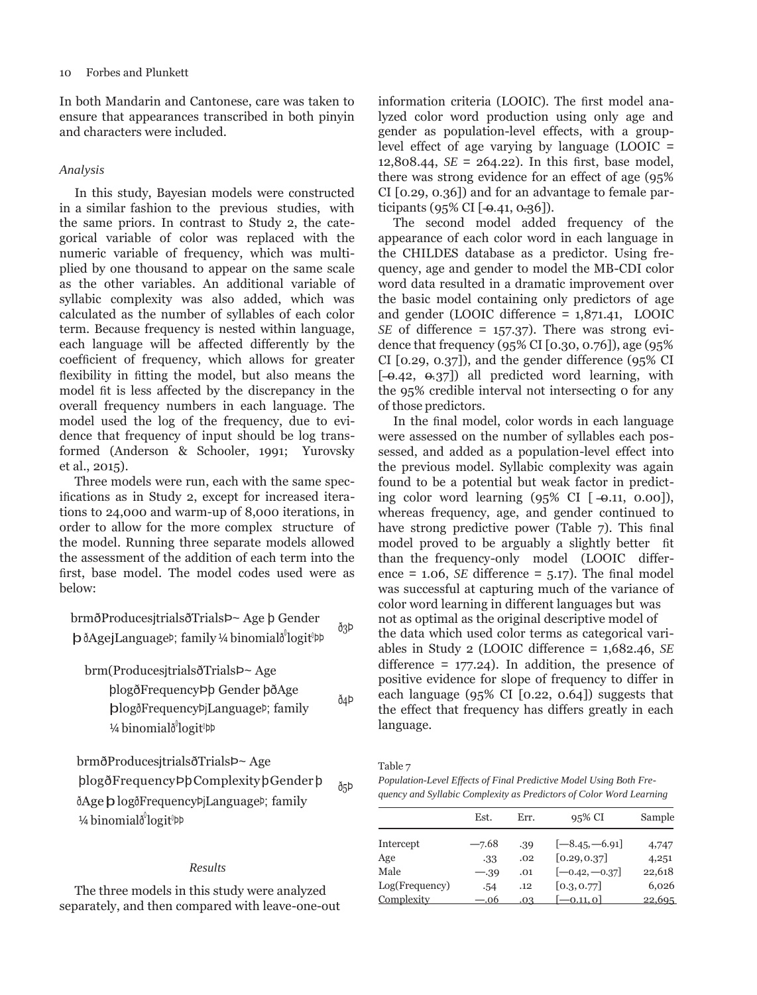In both Mandarin and Cantonese, care was taken to ensure that appearances transcribed in both pinyin and characters were included.

## *Analysis*

In this study, Bayesian models were constructed in a similar fashion to the previous studies, with the same priors. In contrast to Study 2, the categorical variable of color was replaced with the numeric variable of frequency, which was multiplied by one thousand to appear on the same scale as the other variables. An additional variable of syllabic complexity was also added, which was calculated as the number of syllables of each color term. Because frequency is nested within language, each language will be affected differently by the coefficient of frequency, which allows for greater flexibility in fitting the model, but also means the model fit is less affected by the discrepancy in the overall frequency numbers in each language. The model used the log of the frequency, due to evidence that frequency of input should be log transformed (Anderson & Schooler, 1991; Yurovsky et al., 2015).

Three models were run, each with the same specifications as in Study 2, except for increased iterations to 24,000 and warm-up of 8,000 iterations, in order to allow for the more complex structure of the model. Running three separate models allowed the assessment of the addition of each term into the first, base model. The model codes used were as below:

brmðProducesjtrialsðTrialsÞ~ Age þ Gender þðAgejLanguageÞ; family <sup>¼</sup> binomial<sup>ð</sup> 0 logit<sup>0</sup>ÞÞ ð<sub>2</sub>b

| brm(ProducesitrialsðTrialsÞ~ Age                 |     |
|--------------------------------------------------|-----|
| plogðFrequencyÞþ Gender bðAge                    |     |
| plogðFrequencyÞjLanguageÞ; family                | ð4Þ |
| 1/4 binomialo <sup>0</sup> logit <sup>0</sup> pp |     |

brmðProducesjtrialsðTrialsÞ~ Age

þlogðFrequencyÞþComplexityþGenderþ ð5Þ *quency and Syllabic Complexity as Predictors of Color Word Learning* <sup>ð</sup>AgeþlogðFrequencyÞjLanguageÞ; family ¼ binomialð logit ÞÞ

# *Results*

The three models in this study were analyzed separately, and then compared with leave-one-out

— — ticipants (95% CI [ 0*.*41, 0*.*36]). information criteria (LOOIC). The first model analyzed color word production using only age and gender as population-level effects, with a grouplevel effect of age varying by language  $(LOOIC =$ 12,808.44, *SE* = 264.22). In this first, base model, there was strong evidence for an effect of age (95% CI [0*.*29, 0*.*36]) and for an advantage to female par-

[ $-0.42$ ,  $0.37$ ]) all predicted word learning, with The second model added frequency of the appearance of each color word in each language in the CHILDES database as a predictor. Using frequency, age and gender to model the MB-CDI color word data resulted in a dramatic improvement over the basic model containing only predictors of age and gender (LOOIC difference = 1,871.41, LOOIC *SE* of difference = 157.37). There was strong evidence that frequency (95% CI [0.30, 0.76]), age (95% CI [0*.*29, 0*.*37]), and the gender difference (95% CI the 95% credible interval not intersecting 0 for any of those predictors.

ing color word learning  $(95\% \text{ CI} [-0.11, 0.00]),$ In the final model, color words in each language were assessed on the number of syllables each possessed, and added as a population-level effect into the previous model. Syllabic complexity was again found to be a potential but weak factor in predictwhereas frequency, age, and gender continued to have strong predictive power (Table 7). This final model proved to be arguably a slightly better fit than the frequency-only model (LOOIC difference =  $1.06$ , *SE* difference =  $5.17$ ). The final model was successful at capturing much of the variance of color word learning in different languages but was not as optimal as the original descriptive model of the data which used color terms as categorical variables in Study 2 (LOOIC difference = 1,682.46, *SE*  difference  $= 177.24$ ). In addition, the presence of positive evidence for slope of frequency to differ in each language (95% CI [0.22, 0.64]) suggests that the effect that frequency has differs greatly in each language.

Table 7

*Population-Level Effects of Final Predictive Model Using Both Fre-*

| Est.    | Err. | 95% CI           | Sample |
|---------|------|------------------|--------|
| $-7.68$ | .39  | $[-8.45, -6.91]$ | 4,747  |
| $-33$   | .02  | [0.29, 0.37]     | 4,251  |
| -.39    | .01  | $[-0.42, -0.37]$ | 22,618 |
| .54     | .12  | [0.3, 0.77]      | 6,026  |
| -.06    | .03  | $-0.11, 0$       | 22,695 |
|         |      |                  |        |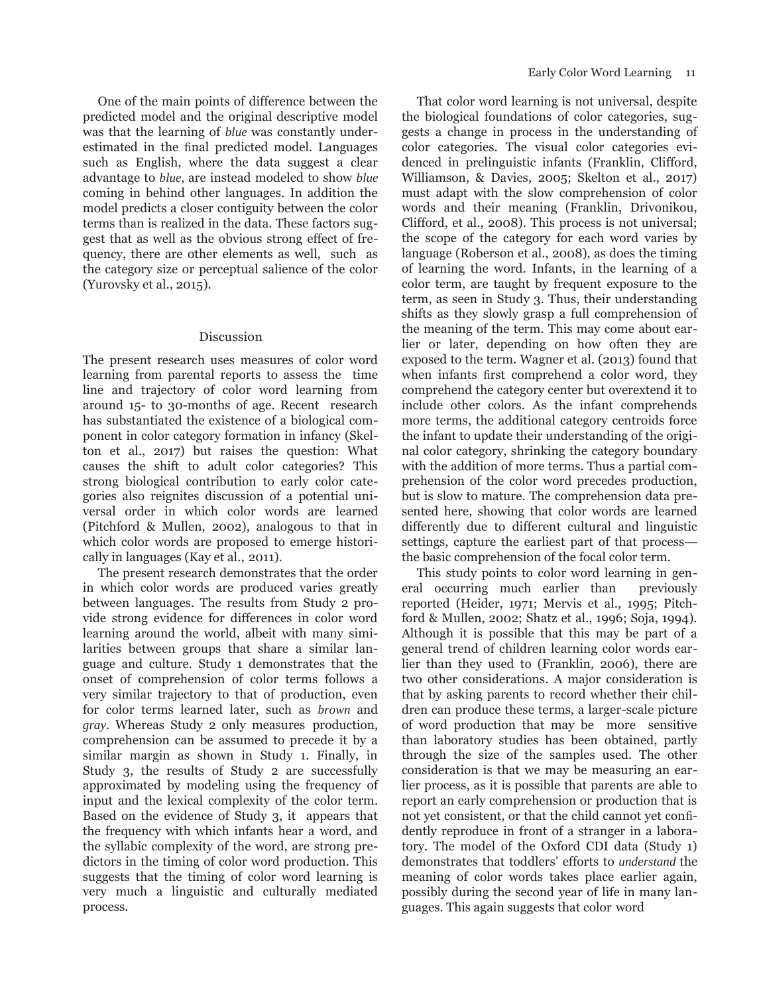One of the main points of difference between the predicted model and the original descriptive model was that the learning of *blue* was constantly underestimated in the final predicted model. Languages such as English, where the data suggest a clear advantage to *blue,* are instead modeled to show *blue*  coming in behind other languages. In addition the model predicts a closer contiguity between the color terms than is realized in the data. These factors suggest that as well as the obvious strong effect of frequency, there are other elements as well, such as the category size or perceptual salience of the color (Yurovsky et al., 2015).

## Discussion

The present research uses measures of color word learning from parental reports to assess the time line and trajectory of color word learning from around 15- to 30-months of age. Recent research has substantiated the existence of a biological component in color category formation in infancy (Skelton et al., 2017) but raises the question: What causes the shift to adult color categories? This strong biological contribution to early color categories also reignites discussion of a potential universal order in which color words are learned (Pitchford & Mullen, 2002), analogous to that in which color words are proposed to emerge historically in languages (Kay et al., 2011).

The present research demonstrates that the order in which color words are produced varies greatly between languages. The results from Study 2 provide strong evidence for differences in color word learning around the world, albeit with many similarities between groups that share a similar language and culture. Study 1 demonstrates that the onset of comprehension of color terms follows a very similar trajectory to that of production, even for color terms learned later, such as *brown* and *gray*. Whereas Study 2 only measures production, comprehension can be assumed to precede it by a similar margin as shown in Study 1. Finally, in Study 3, the results of Study 2 are successfully approximated by modeling using the frequency of input and the lexical complexity of the color term. Based on the evidence of Study 3, it appears that the frequency with which infants hear a word, and the syllabic complexity of the word, are strong predictors in the timing of color word production. This suggests that the timing of color word learning is very much a linguistic and culturally mediated process.

That color word learning is not universal, despite the biological foundations of color categories, suggests a change in process in the understanding of color categories. The visual color categories evidenced in prelinguistic infants (Franklin, Clifford, Williamson, & Davies, 2005; Skelton et al., 2017) must adapt with the slow comprehension of color words and their meaning (Franklin, Drivonikou, Clifford, et al., 2008). This process is not universal; the scope of the category for each word varies by language (Roberson et al., 2008), as does the timing of learning the word. Infants, in the learning of a color term, are taught by frequent exposure to the term, as seen in Study 3. Thus, their understanding shifts as they slowly grasp a full comprehension of the meaning of the term. This may come about earlier or later, depending on how often they are exposed to the term. Wagner et al. (2013) found that when infants first comprehend a color word, they comprehend the category center but overextend it to include other colors. As the infant comprehends more terms, the additional category centroids force the infant to update their understanding of the original color category, shrinking the category boundary with the addition of more terms. Thus a partial comprehension of the color word precedes production, but is slow to mature. The comprehension data presented here, showing that color words are learned differently due to different cultural and linguistic settings, capture the earliest part of that process the basic comprehension of the focal color term.

This study points to color word learning in general occurring much earlier than previously reported (Heider, 1971; Mervis et al., 1995; Pitchford & Mullen, 2002; Shatz et al., 1996; Soja, 1994). Although it is possible that this may be part of a general trend of children learning color words earlier than they used to (Franklin, 2006), there are two other considerations. A major consideration is that by asking parents to record whether their children can produce these terms, a larger-scale picture of word production that may be more sensitive than laboratory studies has been obtained, partly through the size of the samples used. The other consideration is that we may be measuring an earlier process, as it is possible that parents are able to report an early comprehension or production that is not yet consistent, or that the child cannot yet confidently reproduce in front of a stranger in a laboratory. The model of the Oxford CDI data (Study 1) demonstrates that toddlers' efforts to *understand* the meaning of color words takes place earlier again, possibly during the second year of life in many languages. This again suggests that color word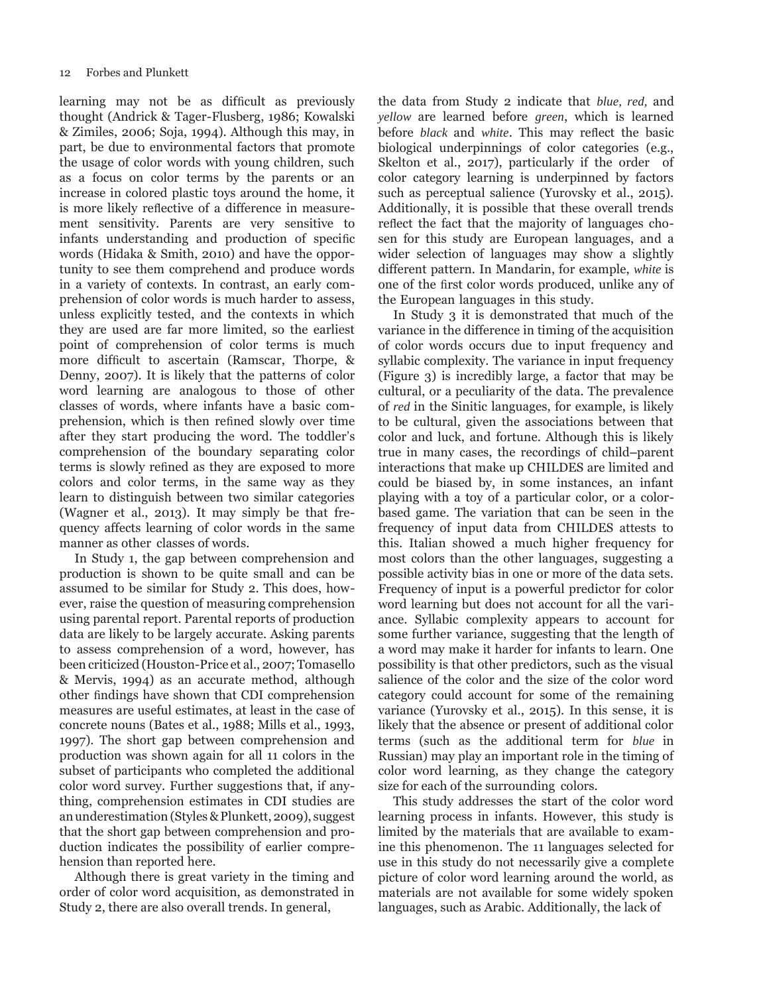learning may not be as difficult as previously thought (Andrick & Tager-Flusberg, 1986; Kowalski & Zimiles, 2006; Soja, 1994). Although this may, in part, be due to environmental factors that promote the usage of color words with young children, such as a focus on color terms by the parents or an increase in colored plastic toys around the home, it is more likely reflective of a difference in measurement sensitivity. Parents are very sensitive to infants understanding and production of specific words (Hidaka & Smith, 2010) and have the opportunity to see them comprehend and produce words in a variety of contexts. In contrast, an early comprehension of color words is much harder to assess, unless explicitly tested, and the contexts in which they are used are far more limited, so the earliest point of comprehension of color terms is much more difficult to ascertain (Ramscar, Thorpe, & Denny, 2007). It is likely that the patterns of color word learning are analogous to those of other classes of words, where infants have a basic comprehension, which is then refined slowly over time after they start producing the word. The toddler's comprehension of the boundary separating color terms is slowly refined as they are exposed to more colors and color terms, in the same way as they learn to distinguish between two similar categories (Wagner et al., 2013). It may simply be that frequency affects learning of color words in the same manner as other classes of words.

In Study 1, the gap between comprehension and production is shown to be quite small and can be assumed to be similar for Study 2. This does, however, raise the question of measuring comprehension using parental report. Parental reports of production data are likely to be largely accurate. Asking parents to assess comprehension of a word, however, has been criticized (Houston-Price et al., 2007; Tomasello & Mervis, 1994) as an accurate method, although other findings have shown that CDI comprehension measures are useful estimates, at least in the case of concrete nouns (Bates et al., 1988; Mills et al., 1993, 1997). The short gap between comprehension and production was shown again for all 11 colors in the subset of participants who completed the additional color word survey. Further suggestions that, if anything, comprehension estimates in CDI studies are an underestimation (Styles & Plunkett, 2009), suggest that the short gap between comprehension and production indicates the possibility of earlier comprehension than reported here.

Although there is great variety in the timing and order of color word acquisition, as demonstrated in Study 2, there are also overall trends. In general,

the data from Study 2 indicate that *blue, red,* and *yellow* are learned before *green*, which is learned before *black* and *white*. This may reflect the basic biological underpinnings of color categories (e.g., Skelton et al., 2017), particularly if the order of color category learning is underpinned by factors such as perceptual salience (Yurovsky et al., 2015). Additionally, it is possible that these overall trends reflect the fact that the majority of languages chosen for this study are European languages, and a wider selection of languages may show a slightly different pattern. In Mandarin, for example, *white* is one of the first color words produced, unlike any of the European languages in this study.

In Study 3 it is demonstrated that much of the variance in the difference in timing of the acquisition of color words occurs due to input frequency and syllabic complexity. The variance in input frequency (Figure 3) is incredibly large, a factor that may be cultural, or a peculiarity of the data. The prevalence of *red* in the Sinitic languages, for example, is likely to be cultural, given the associations between that color and luck, and fortune. Although this is likely true in many cases, the recordings of child–parent interactions that make up CHILDES are limited and could be biased by, in some instances, an infant playing with a toy of a particular color, or a colorbased game. The variation that can be seen in the frequency of input data from CHILDES attests to this. Italian showed a much higher frequency for most colors than the other languages, suggesting a possible activity bias in one or more of the data sets. Frequency of input is a powerful predictor for color word learning but does not account for all the variance. Syllabic complexity appears to account for some further variance, suggesting that the length of a word may make it harder for infants to learn. One possibility is that other predictors, such as the visual salience of the color and the size of the color word category could account for some of the remaining variance (Yurovsky et al., 2015). In this sense, it is likely that the absence or present of additional color terms (such as the additional term for *blue* in Russian) may play an important role in the timing of color word learning, as they change the category size for each of the surrounding colors.

This study addresses the start of the color word learning process in infants. However, this study is limited by the materials that are available to examine this phenomenon. The 11 languages selected for use in this study do not necessarily give a complete picture of color word learning around the world, as materials are not available for some widely spoken languages, such as Arabic. Additionally, the lack of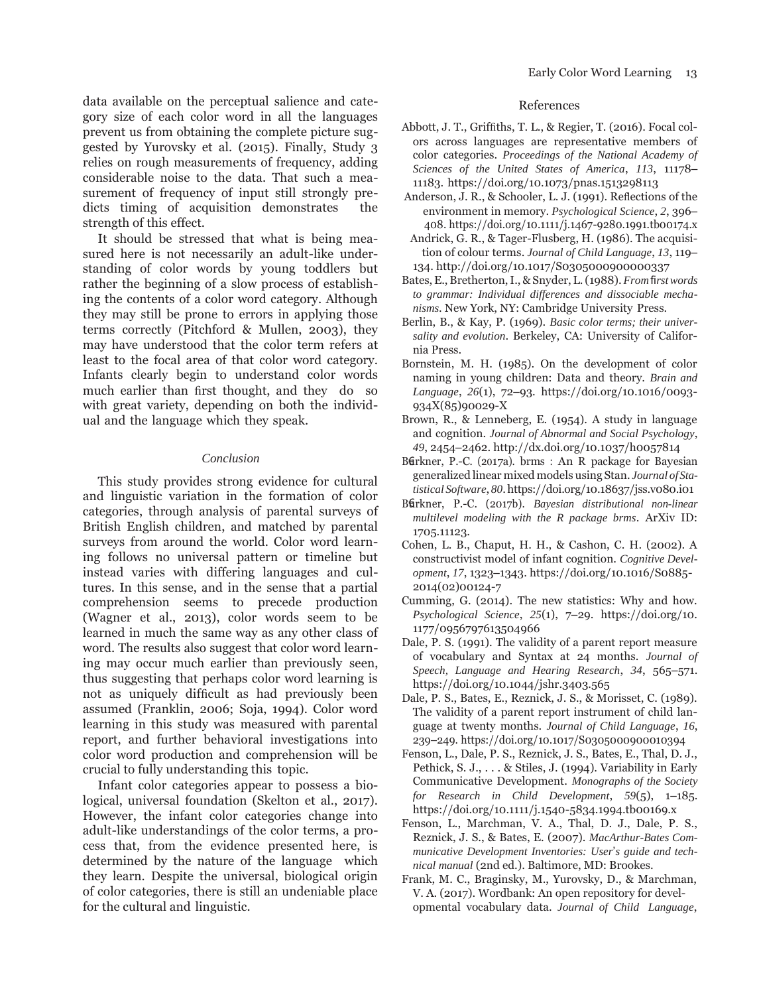data available on the perceptual salience and category size of each color word in all the languages prevent us from obtaining the complete picture suggested by Yurovsky et al. (2015). Finally, Study 3 relies on rough measurements of frequency, adding considerable noise to the data. That such a measurement of frequency of input still strongly predicts timing of acquisition demonstrates the strength of this effect.

It should be stressed that what is being measured here is not necessarily an adult-like understanding of color words by young toddlers but rather the beginning of a slow process of establishing the contents of a color word category. Although they may still be prone to errors in applying those terms correctly (Pitchford & Mullen, 2003), they may have understood that the color term refers at least to the focal area of that color word category. Infants clearly begin to understand color words much earlier than first thought, and they do so with great variety, depending on both the individual and the language which they speak.

## *Conclusion*

This study provides strong evidence for cultural and linguistic variation in the formation of color categories, through analysis of parental surveys of British English children, and matched by parental surveys from around the world. Color word learning follows no universal pattern or timeline but instead varies with differing languages and cultures. In this sense, and in the sense that a partial comprehension seems to precede production (Wagner et al., 2013), color words seem to be learned in much the same way as any other class of word. The results also suggest that color word learning may occur much earlier than previously seen, thus suggesting that perhaps color word learning is not as uniquely difficult as had previously been assumed (Franklin, 2006; Soja, 1994). Color word learning in this study was measured with parental report, and further behavioral investigations into color word production and comprehension will be crucial to fully understanding this topic.

Infant color categories appear to possess a biological, universal foundation (Skelton et al., 2017). However, the infant color categories change into adult-like understandings of the color terms, a process that, from the evidence presented here, is determined by the nature of the language which they learn. Despite the universal, biological origin of color categories, there is still an undeniable place for the cultural and linguistic.

#### References

- Abbott, J. T., Griffiths, T. L., & Regier, T. (2016). Focal colors across languages are representative members of color categories. *Proceedings of the National Academy of Sciences of the United States of America*, *113*, 11178– 11183. <https://doi.org/10.1073/pnas.1513298113>
- Anderson, J. R., & Schooler, L. J. (1991). Reflections of the environment in memory. *Psychological Science*, *2*, 396– 408[. https://doi.org/10.1111/j.1467-9280.1991.tb00174.x](https://doi.org/10.1111/j.1467-9280.1991.tb00174.x)
- Andrick, G. R., & Tager-Flusberg, H. (1986). The acquisition of colour terms. *Journal of Child Language*, *13*, 119– 134[. http://doi.org/10.1017/S0305000900000337](http://doi.org/10.1017/S0305000900000337)
- Bates,E., Bretherton,I., & Snyder, L.(1988). *From* fi*rstwords to grammar: Individual differences and dissociable mechanisms*. New York, NY: Cambridge University Press.
- Berlin, B., & Kay, P. (1969). *Basic color terms; their universality and evolution*. Berkeley, CA: University of California Press.
- Bornstein, M. H. (1985). On the development of color naming in young children: Data and theory. *Brain and Language*, *26*(1), 72–93. [https://doi.org/10.1016/0093-](https://doi.org/10.1016/0093-934X(85)90029-X) [934X\(85\)90029-X](https://doi.org/10.1016/0093-934X(85)90029-X)
- Brown, R., & Lenneberg, E. (1954). A study in language and cognition. *Journal of Abnormal and Social Psychology*, *49*, 2454–2462[. http://dx.doi.org/10.1037/h0057814](http://dx.doi.org/10.1037/h0057814)
- Buffrkner, P.-C. (2017a). brms : An R package for Bayesian generalized linear mixed models using Stan. *Journal ofStatistical Software*, *80*[.https://doi.org/10.18637/jss.v080.i01](https://doi.org/10.18637/jss.v080.i01)
- Burkner, P.-C. (2017b). *Bayesian distributional non-linear multilevel modeling with the R package brms*. ArXiv ID: 1705.11123.
- Cohen, L. B., Chaput, H. H., & Cashon, C. H. (2002). A constructivist model of infant cognition. *Cognitive Development*, *17*, 1323–1343. [https://doi.org/10.1016/S0885-](https://doi.org/10.1016/S0885-2014(02)00124-7) [2014\(02\)00124-7](https://doi.org/10.1016/S0885-2014(02)00124-7)
- Cumming, G. (2014). The new statistics: Why and how. *Psychological Science*, *25*(1), 7–29. [https://doi.org/10.](https://doi.org/10.1177/0956797613504966) [1177/0956797613504966](https://doi.org/10.1177/0956797613504966)
- Dale, P. S. (1991). The validity of a parent report measure of vocabulary and Syntax at 24 months. *Journal of Speech, Language and Hearing Research*, *34*, 565–571. <https://doi.org/10.1044/jshr.3403.565>
- Dale, P. S., Bates, E., Reznick, J. S., & Morisset, C. (1989). The validity of a parent report instrument of child language at twenty months. *Journal of Child Language*, *16*, 239–249[. https://doi.org/10.1017/S0305000900010394](https://doi.org/10.1017/S0305000900010394)
- Fenson, L., Dale, P. S., Reznick, J. S., Bates, E., Thal, D. J., Pethick, S. J., . . . & Stiles, J. (1994). Variability in Early Communicative Development. *Monographs of the Society for Research in Child Development*, *59*(5), 1–185. <https://doi.org/10.1111/j.1540-5834.1994.tb00169.x>
- Fenson, L., Marchman, V. A., Thal, D. J., Dale, P. S., Reznick, J. S., & Bates, E. (2007). *MacArthur-Bates Communicative Development Inventories: User*'*s guide and technical manual* (2nd ed.). Baltimore, MD: Brookes.
- Frank, M. C., Braginsky, M., Yurovsky, D., & Marchman, V. A. (2017). Wordbank: An open repository for developmental vocabulary data. *Journal of Child Language*,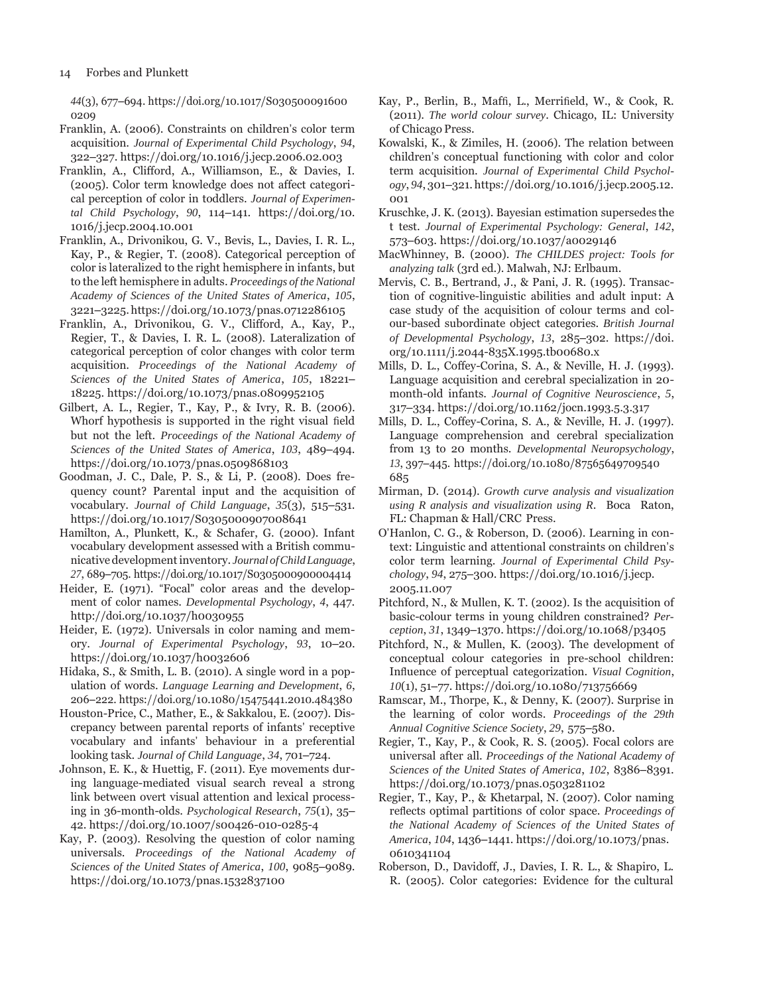*44*(3), 677–694[. https://doi.org/10.1017/S030500091600](https://doi.org/10.1017/S0305000916000209) [0209](https://doi.org/10.1017/S0305000916000209)

- Franklin, A. (2006). Constraints on children's color term acquisition. *Journal of Experimental Child Psychology*, *94*, 322–327[. https://doi.org/10.1016/j.jecp.2006.02.003](https://doi.org/10.1016/j.jecp.2006.02.003)
- Franklin, A., Clifford, A., Williamson, E., & Davies, I. (2005). Color term knowledge does not affect categorical perception of color in toddlers. *Journal of Experimental Child Psychology*, *90*, 114–141. [https://doi.org/10.](https://doi.org/10.1016/j.jecp.2004.10.001) [1016/j.jecp.2004.10.001](https://doi.org/10.1016/j.jecp.2004.10.001)
- Franklin, A., Drivonikou, G. V., Bevis, L., Davies, I. R. L., Kay, P., & Regier, T. (2008). Categorical perception of color is lateralized to the right hemisphere in infants, but to the left hemisphere in adults. *Proceedings of the National Academy of Sciences of the United States of America*, *105*, 3221–3225[.https://doi.org/10.1073/pnas.0712286105](https://doi.org/10.1073/pnas.0712286105)
- Franklin, A., Drivonikou, G. V., Clifford, A., Kay, P., Regier, T., & Davies, I. R. L. (2008). Lateralization of categorical perception of color changes with color term acquisition. *Proceedings of the National Academy of Sciences of the United States of America*, *105*, 18221– 18225. <https://doi.org/10.1073/pnas.0809952105>
- Gilbert, A. L., Regier, T., Kay, P., & Ivry, R. B. (2006). Whorf hypothesis is supported in the right visual field but not the left. *Proceedings of the National Academy of Sciences of the United States of America*, *103*, 489–494. <https://doi.org/10.1073/pnas.0509868103>
- Goodman, J. C., Dale, P. S., & Li, P. (2008). Does frequency count? Parental input and the acquisition of vocabulary. *Journal of Child Language*, *35*(3), 515–531. <https://doi.org/10.1017/S0305000907008641>
- Hamilton, A., Plunkett, K., & Schafer, G. (2000). Infant vocabulary development assessed with a British communicative developmentinventory. *Journal ofChildLanguage*, *27*, 689–705. <https://doi.org/10.1017/S0305000900004414>
- Heider, E. (1971). "Focal" color areas and the development of color names. *Developmental Psychology*, *4*, 447. <http://doi.org/10.1037/h0030955>
- Heider, E. (1972). Universals in color naming and memory. *Journal of Experimental Psychology*, *93*, 10–20. <https://doi.org/10.1037/h0032606>
- Hidaka, S., & Smith, L. B. (2010). A single word in a population of words. *Language Learning and Development*, *6*, 206–222.<https://doi.org/10.1080/15475441.2010.484380>
- Houston-Price, C., Mather, E., & Sakkalou, E. (2007). Discrepancy between parental reports of infants' receptive vocabulary and infants' behaviour in a preferential looking task. *Journal of Child Language*, *34*, 701–724.
- Johnson, E. K., & Huettig, F. (2011). Eye movements during language-mediated visual search reveal a strong link between overt visual attention and lexical processing in 36-month-olds. *Psychological Research*, *75*(1), 35– 42[. https://doi.org/10.1007/s00426-010-0285-4](https://doi.org/10.1007/s00426-010-0285-4)
- Kay, P. (2003). Resolving the question of color naming universals. *Proceedings of the National Academy of Sciences of the United States of America*, *100*, 9085–9089. <https://doi.org/10.1073/pnas.1532837100>
- Kay, P., Berlin, B., Maffi, L., Merrifield, W., & Cook, R. (2011). *The world colour survey*. Chicago, IL: University of Chicago Press.
- Kowalski, K., & Zimiles, H. (2006). The relation between children's conceptual functioning with color and color term acquisition. *Journal of Experimental Child Psychology*, *94*, 301–321. [https://doi.org/10.1016/j.jecp.2005.12.](https://doi.org/10.1016/j.jecp.2005.12.001) [001](https://doi.org/10.1016/j.jecp.2005.12.001)
- Kruschke, J. K. (2013). Bayesian estimation supersedes the t test. *Journal of Experimental Psychology: General*, *142*, 573–603. <https://doi.org/10.1037/a0029146>
- MacWhinney, B. (2000). *The CHILDES project: Tools for analyzing talk* (3rd ed.). Malwah, NJ: Erlbaum.
- Mervis, C. B., Bertrand, J., & Pani, J. R. (1995). Transaction of cognitive-linguistic abilities and adult input: A case study of the acquisition of colour terms and colour-based subordinate object categories. *British Journal of Developmental Psychology*, *13*, 285–302. [https://doi.](https://doi.org/10.1111/j.2044-835X.1995.tb00680.x) [org/10.1111/j.2044-835X.1995.tb00680.x](https://doi.org/10.1111/j.2044-835X.1995.tb00680.x)
- Mills, D. L., Coffey-Corina, S. A., & Neville, H. J. (1993). Language acquisition and cerebral specialization in 20 month-old infants. *Journal of Cognitive Neuroscience*, *5*, 317–334[. https://doi.org/10.1162/jocn.1993.5.3.317](https://doi.org/10.1162/jocn.1993.5.3.317)
- Mills, D. L., Coffey-Corina, S. A., & Neville, H. J. (1997). Language comprehension and cerebral specialization from 13 to 20 months. *Developmental Neuropsychology*, *13*, 397–445. [https://doi.org/10.1080/87565649709540](https://doi.org/10.1080/87565649709540685) [685](https://doi.org/10.1080/87565649709540685)
- Mirman, D. (2014). *Growth curve analysis and visualization using R analysis and visualization using R*. Boca Raton, FL: Chapman & Hall/CRC Press.
- O'Hanlon, C. G., & Roberson, D. (2006). Learning in context: Linguistic and attentional constraints on children's color term learning. *Journal of Experimental Child Psychology*, *94*, 275–300[. https://doi.org/10.1016/j.jecp.](https://doi.org/10.1016/j.jecp.2005.11.007) [2005.11.007](https://doi.org/10.1016/j.jecp.2005.11.007)
- Pitchford, N., & Mullen, K. T. (2002). Is the acquisition of basic-colour terms in young children constrained? *Perception*, *31*, 1349–1370[. https://doi.org/10.1068/p3405](https://doi.org/10.1068/p3405)
- Pitchford, N., & Mullen, K. (2003). The development of conceptual colour categories in pre-school children: Influence of perceptual categorization. *Visual Cognition*, *10*(1), 51–77[. https://doi.org/10.1080/713756669](https://doi.org/10.1080/713756669)
- Ramscar, M., Thorpe, K., & Denny, K. (2007). Surprise in the learning of color words. *Proceedings of the 29th Annual Cognitive Science Society*, *29*, 575–580.
- Regier, T., Kay, P., & Cook, R. S. (2005). Focal colors are universal after all. *Proceedings of the National Academy of Sciences of the United States of America*, *102*, 8386–8391. <https://doi.org/10.1073/pnas.0503281102>
- Regier, T., Kay, P., & Khetarpal, N. (2007). Color naming reflects optimal partitions of color space. *Proceedings of the National Academy of Sciences of the United States of America*, *104*, 1436–1441[. https://doi.org/10.1073/pnas.](https://doi.org/10.1073/pnas.0610341104) [0610341104](https://doi.org/10.1073/pnas.0610341104)
- Roberson, D., Davidoff, J., Davies, I. R. L., & Shapiro, L. R. (2005). Color categories: Evidence for the cultural